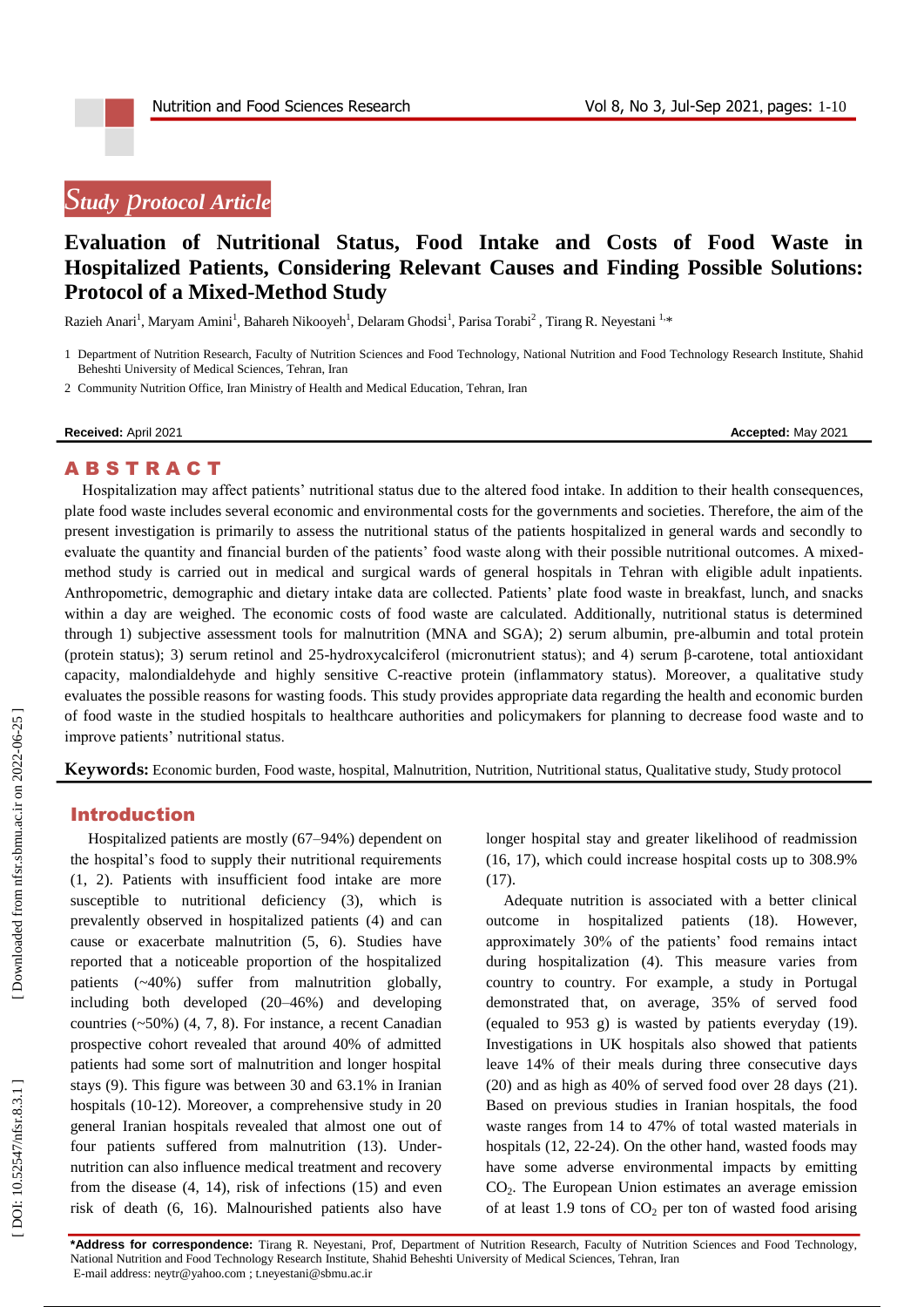# *Study p rotoco l Article*

# **Evaluation of Nutritional Status, Food Intake and Costs of Food Waste in Hospitalized Patients, Considering Relevant Causes and Finding Possible Solutions: Protocol of a Mixed -Method Study**

Razieh Anari<sup>1</sup>, Maryam Amini<sup>1</sup>, Bahareh Nikooyeh<sup>1</sup>, Delaram Ghodsi<sup>1</sup>, Parisa Torabi<sup>2</sup>, Tirang R. Neyestani<sup>1,\*</sup>

1 Department of Nutrition Research, Faculty of Nutrition Sciences and Food Technology, National Nutrition and Food Technology Research Institute, Shahid Beheshti University of Medical Sciences, Tehran, Iran

2 Community Nutrition Office, Iran Ministry of Health and Medical Education, Tehran, Iran

#### **Received:** April 2021 **Accepted:** May 2021

#### **ABSTRACT**

Hospitalization may affect patients' nutritional status due to the altered food intake. In addition to their health consequences, plate food waste includes several economic and environmental costs for the governments and societies. Therefore, the aim of the present investigation is primarily to assess the nutritional status of the patients hospitalized in general wards and secondly to evaluate the quantity and financial burden of the patients' food waste along with their possible nutritional outcomes. A mixed method study is carried out in medical and surgical wards of general hospitals in Tehran with eligible adult inpatients. Anthropometric, demographic and dietary intake data are collected. Patients' plate food waste in breakfast, lunch, and snacks within a day are weighed. The economic costs of food waste are calculated. Additionally, nutritional status is determined through 1) subjective assessment tools for malnutrition (MNA and SGA); 2) serum albumin, pr e -albumin and total protein (protein status); 3) serum retinol and 25 -hydroxycalciferol (micronutrient status); and 4) serum β -carotene, total antioxidant capacity, malondialdehyde and highly sensitive C -reactive protein (inflammatory status). Moreover, a qualitative study evaluates the possible reasons for wasting foods. This study provides appropriate data regarding the health and economic burden of food waste in the studied hospitals to healthcare authorities and policymakers for planning to decrease food waste and to improve patients' nutritional status.

**Keywords:** Economic burden, Food waste, hospital, Malnutrition, Nutrition, Nutritional status, Qualitative study, Study protocol

#### Introduction

Hospitalized patients are mostly (67 –94%) dependent on the hospital's food to supply their nutritional requirements (1, 2). Patients with insufficient food intake are more susceptible to nutritional deficiency (3), which is prevalently observed in hospitalized patients ( 4 ) and can cause or exacerbate malnutrition ( 5, 6 ). Studies have reported that a noticeable proportion of the hospitalized patients (~40%) suffer from malnutrition globally, including both developed (20 –46%) and developing countries (~50%) ( 4, 7, 8 ). For instance, a recent Canadian prospective cohort revealed that around 40% of admitted patients had some sort of malnutrition and longer hospital stays ( 9 ). This figure was between 30 and 63.1% in Iranian hospitals (10 -12 ). Moreover, a comprehensive study in 20 general Iranian hospitals revealed that almost one out of four patients suffered from malnutrition (13 ). Under nutrition can also influence medical treatment and recovery from the disease (4, 14), risk of infections (15) and even risk of death ( 6, 16 ). Malnourished patients also have longer hospital stay and greater likelihood of readmission (16, 17), which could increase hospital costs up to 308.9% (17).

Adequate nutrition is associated with a better clinical outcome in hospitalized patients (18 ). However, approximately 30% of the patients' food remains intact during hospitalization ( 4 ). This measure varies from country to country. For example, a study in Portugal demonstrated that, on average, 35% of served food (equaled to 953 g) is wasted by patients everyday (19 ). Investigations in UK hospitals also showed that patients leave 14% of their meals during three consecutive days (20) and as high as 40% of served food over 28 days (21). Based on previous studies in Iranian hospitals, the food waste ranges from 14 to 47% of total wasted materials in hospitals (12, 22 -24 ). On the other hand, wasted foods may have some adverse environmental impacts by emitting CO <sup>2</sup>. The European Union estimates an average emission of at least 1.9 tons of CO <sup>2</sup> per ton of wasted food arising

**\*Address for correspondence:** Tirang R. Neyestani, Prof, Department of Nutrition Research, Faculty of Nutrition Sciences and Food Technology, National Nutrition and Food Technology Research Institute, Shahid Beheshti University of Medical Sciences, Tehran, Iran E-mail address[: neytr@yahoo.com](mailto:neytr@yahoo.com) [; t.neyestani@sbmu.ac.ir](mailto:t.neyestani@sbmu.ac.ir)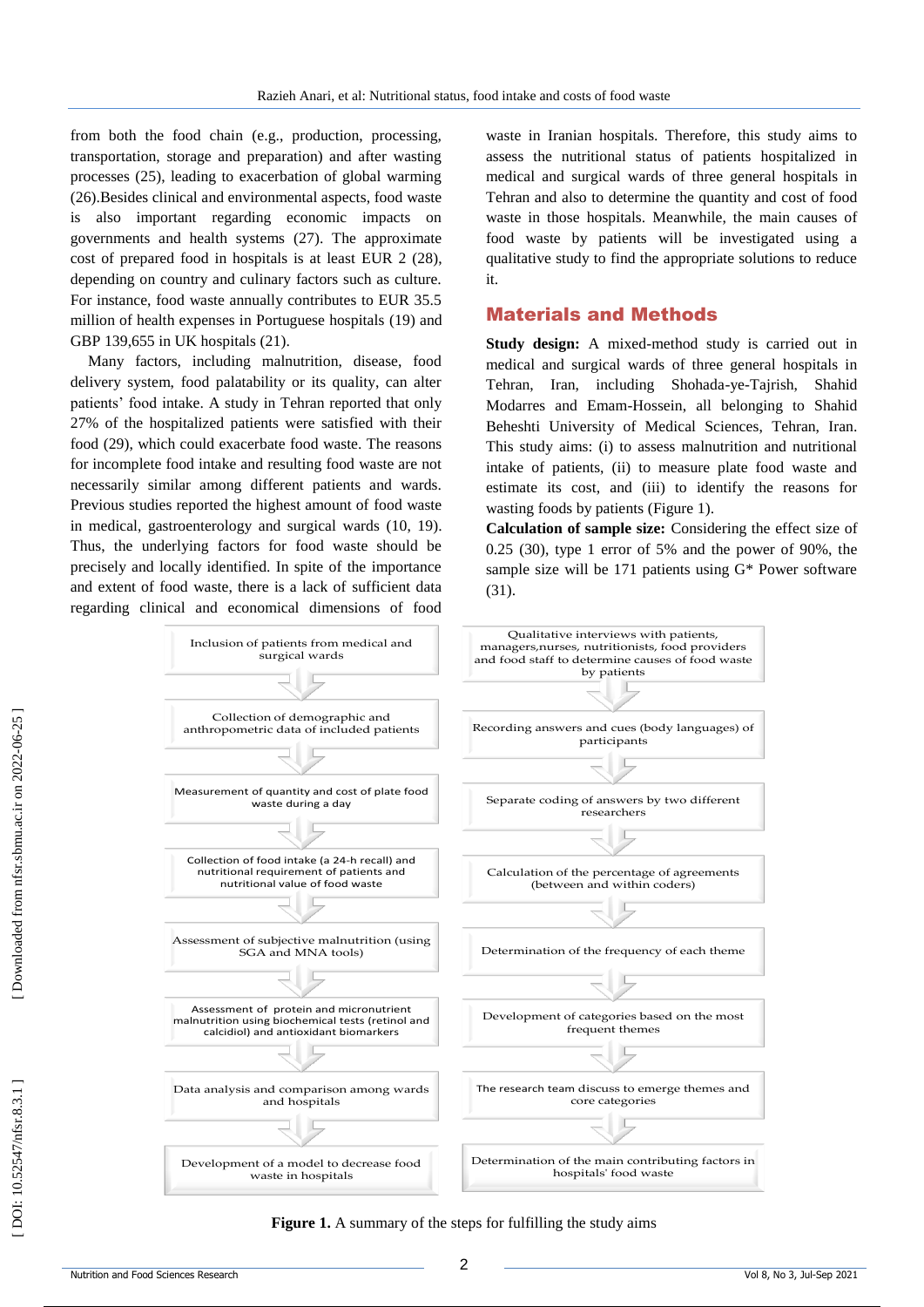from both the food chain (e.g., production, processing, transportation, storage and preparation) and after wasting processes (25 ), leading to exacerbation of global warming (26 ).Besides clinical and environmental aspects, food waste is also important regarding economic impacts on governments and health systems (27 ). The approximate cost of prepared food in hospitals is at least EUR 2 (28 ), depending on country and culinary factors such as culture. For instance, food waste annually contributes to EUR 35.5 million of health expenses in Portuguese hospitals (19 ) and GBP 139,655 in UK hospitals (21 ) .

Many factors, including malnutrition, disease, food delivery system, food palatability or its quality, can alter patients' food intake. A study in Tehran reported that only 27% of the hospitalized patients were satisfied with their food (29 ), which could exacerbate food waste. The reasons for incomplete food intake and resulting food waste are not necessarily similar among different patients and wards. Previous studies reported the highest amount of food waste in medical, gastroenterology and surgical wards (10, 19 ). Thus, the underlying factors for food waste should be precisely and locally identified. In spite of the importance and extent of food waste, there is a lack of sufficient data regarding clinical and economical dimensions of food

waste in Iranian hospitals. Therefore, this study aims to assess the nutritional status of patients hospitalized in medical and surgical wards of three general hospitals in Tehran and also to determine the quantity and cost of food waste in those hospitals. Meanwhile, the main causes of food waste by patients will be investigated using a qualitative study to find the appropriate solutions to reduce it.

## Material s and Methods

**Study design:** A mixed -method study is carried out in medical and surgical wards of three general hospitals in Tehran, Iran, including Shohada -ye -Tajrish, Shahid Modarres and Emam -Hossein, all belonging to Shahid Beheshti University of Medical Sciences, Tehran, Iran. This study aims: (i) to assess malnutrition and nutritional intake of patients, (ii) to measure plate food waste and estimate its cost, and (iii) to identify the reasons for wasting foods by patients (Figure 1).

**Calculation of sample size:** Considering the effect size of 0.25 (30 ), type 1 error of 5% and the power of 90%, the sample size will be 171 patients using G\* Power software (31).



**Figure 1.** A summary of the steps for fulfilling the study aims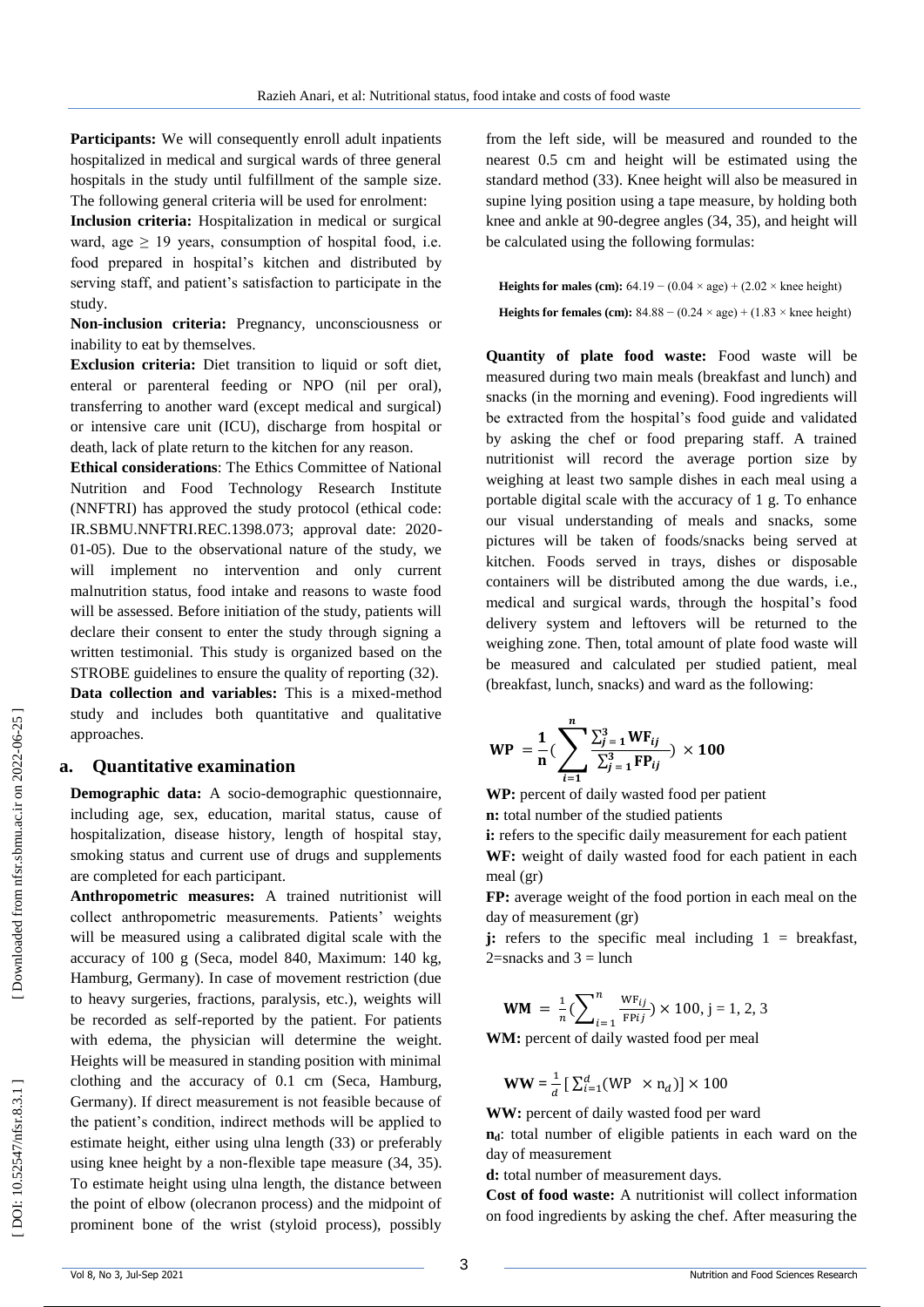Participants: We will consequently enroll adult inpatients hospitalized in medical and surgical wards of three general hospitals in the study until fulfillment of the sample size. The following general criteria will be used for enrolment:

**Inclusion criteria:** Hospitalization in medical or surgical ward, age  $\geq$  19 years, consumption of hospital food, i.e. food prepared in hospital's kitchen and distributed by serving staff, and patient's satisfaction to participate in the study.

**Non -inclusion criteria:** Pregnancy, unconsciousness or inability to eat by themselves.

**Exclusion criteria:** Diet transition to liquid or soft diet, enteral or parenteral feeding or NPO (nil per oral), transferring to another ward (except medical and surgical) or intensive care unit (ICU), discharge from hospital or death, lack of plate return to the kitchen for any reason.

**Ethical considerations**: The Ethics Committee of National Nutrition and Food Technology Research Institute (NNFTRI) has approved the study protocol (ethical code: IR.SBMU.NNFTRI.REC.1398.073; approval date: 2020 - 01 -05). Due to the observational nature of the study, we will implement no intervention and only current malnutrition status, food intake and reasons to waste food will be assessed. Before initiation of the study, patients will declare their consent to enter the study through signing a written testimonial. This study is organized based on the STROBE guidelines to ensure the quality of reporting (32). Data collection and variables: This is a mixed-method study and includes both quantitative and qualitative approaches.

#### **a. Quantitative examination**

**Demographic data:** A socio -demographic questionnaire, including age, sex, education, marital status, cause of hospitalization, disease history, length of hospital stay, smoking status and current use of drugs and supplements are completed for each participant.

**Anthropometric measures:** A trained nutritionist will collect anthropometric measurements. Patients' weights will be measured using a calibrated digital scale with the accuracy of 100 g (Seca, model 840, Maximum: 140 kg, Hamburg, Germany). In case of movement restriction (due to heavy surgeries, fractions, paralysis, etc.), weights will be recorded as self -reported by the patient. For patients with edema, the physician will determine the weight. Heights will be measured in standing position with minimal clothing and the accuracy of 0.1 cm (Seca, Hamburg, Germany). If direct measurement is not feasible because of the patient's condition, indirect methods will be applied to estimate height, either using ulna length (33 ) or preferably using knee height by a non -flexible tape measure (34, 35 ). To estimate height using ulna length, the distance between the point of elbow (olecranon process) and the midpoint of prominent bone of the wrist (styloid process), possibly

from the left side, will be measured and rounded to the nearest 0.5 cm and height will be estimated using the standard method (33 ). Knee height will also be measured in supine lying position using a tape measure, by holding both knee and ankle at 90 -degree angles (34, 35 ), and height will be calculated using the following formulas:

**Heights for males (cm):**  $64.19 - (0.04 \times age) + (2.02 \times knee height)$ **Heights for females (cm):**  $84.88 - (0.24 \times age) + (1.83 \times knee height)$ 

**Quantity of plate food waste:** Food waste will be measured during two main meals (breakfast and lunch) and snacks (in the morning and evening). Food ingredients will be extracted from the hospital's food guide and validated by asking the chef or food preparing staff. A trained nutritionist will record the average portion size by weighing at least two sample dishes in each meal using a portable digital scale with the accuracy of 1 g. To enhance our visual understanding of meals and snacks, some pictures will be taken of foods/snacks being served at kitchen. Foods served in trays, dishes or disposable containers will be distributed among the due wards, i.e., medical and surgical wards, through the hospital's food delivery system and leftovers will be returned to the weighing zone. Then, total amount of plate food waste will be measured and calculated per studied patient, meal (breakfast, lunch, snacks) and ward as the following:

$$
WP = \frac{1}{n} \left( \sum_{i=1}^{n} \frac{\sum_{j=1}^{3} WF_{ij}}{\sum_{j=1}^{3} FP_{ij}} \right) \times 100
$$

**WP:** percent of daily wasted food per patient

**n:** total number of the studied patients

**i:** refers to the specific daily measurement for each patient **WF:** weight of daily wasted food for each patient in each

meal (gr)

**FP:** average weight of the food portion in each meal on the day of measurement (gr)

**j:** refers to the specific meal including  $1 =$  breakfast,  $2$ =snacks and  $3 =$  lunch

$$
WM = \frac{1}{n} \left( \sum_{i=1}^{n} \frac{WF_{ij}}{FPij} \right) \times 100, j = 1, 2, 3
$$

WM: percent of daily wasted food per meal

$$
WW = \frac{1}{d} \left[ \sum_{i=1}^{d} (WP \times n_d) \right] \times 100
$$

**WW:** percent of daily wasted food per ward

**n**<sub>d</sub>: total number of eligible patients in each ward on the day of measurement

**d:** total number of measurement days.

**Cost of food waste:** A nutritionist will collect information on food ingredients by asking the chef. After measuring the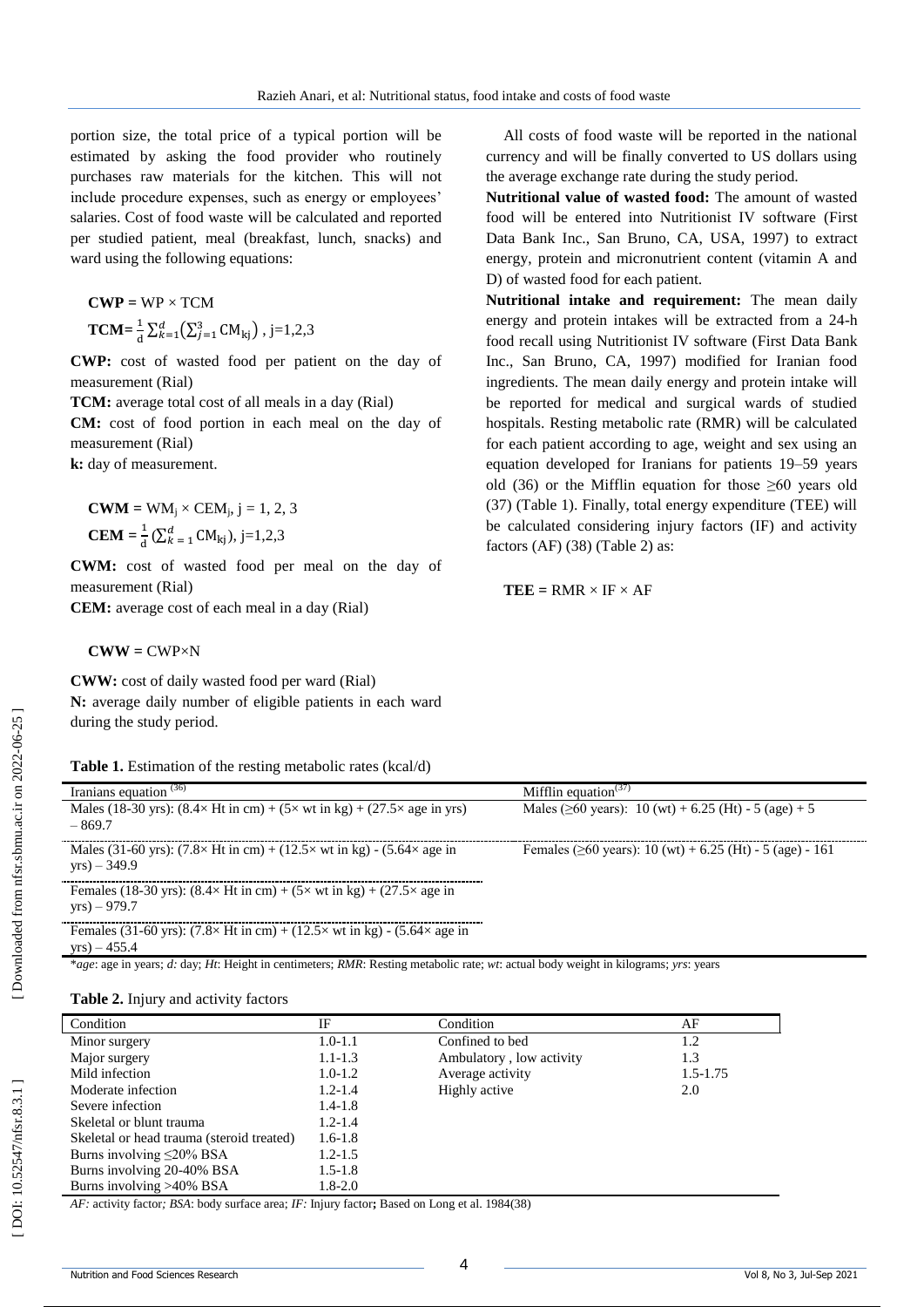portion size, the total price of a typical portion will be estimated by asking the food provider who routinely purchases raw materials for the kitchen. This will not include procedure expenses, such as energy or employees' salaries. Cost of food waste will be calculated and reported per studied patient, meal (breakfast, lunch, snacks) and ward using the following equations:

$$
CWP = WP \times TCM
$$
  
TCM= $\frac{1}{d} \sum_{k=1}^{d} (\sum_{j=1}^{3} CM_{kj})$ , j=1,2,3

**CWP:** cost of wasted food per patient on the day of measurement (Rial)

**TCM:** average total cost of all meals in a day (Rial)

**CM:** cost of food portion in each meal on the day of measurement (Rial)

**k:** day of measurement.

**CWM** = WM<sub>j</sub> × CEM<sub>j</sub>, j = 1, 2, 3  
**CEM** = 
$$
\frac{1}{d}
$$
 ( $\sum_{k=1}^{d}$  CM<sub>kj</sub>), j=1,2,3

**CWM:** cost of wasted food per meal on the day of measurement (Rial)

**CEM:** average cost of each meal in a day (Rial)

 $CWW = CWP \times N$ 

**CWW:** cost of daily wasted food per ward (Rial) **N:** average daily number of eligible patients in each ward during the study period.

|  | Table 1. Estimation of the resting metabolic rates (kcal/d) |  |  |  |  |  |  |
|--|-------------------------------------------------------------|--|--|--|--|--|--|
|--|-------------------------------------------------------------|--|--|--|--|--|--|

Iranians equation (36  $Mifflin equation<sup>(37)</sup>$ ) Males (18-30 yrs):  $(8.4 \times Ht \text{ in cm}) + (5 \times wt \text{ in kg}) + (27.5 \times age \text{ in yrs})$ – 869.7 Males ( $\geq 60$  years): 10 (wt) + 6.25 (Ht) - 5 (age) + 5 Males (31-60 yrs):  $(7.8 \times Ht \text{ in cm}) + (12.5 \times wt \text{ in kg}) - (5.64 \times age \text{ in}$ yrs) – 349.9 Females ( $\geq 60$  years): 10 (wt) + 6.25 (Ht) - 5 (age) - 161 Females (18-30 yrs):  $(8.4 \times Ht \text{ in cm}) + (5 \times wt \text{ in kg}) + (27.5 \times age \text{ in}$ yrs) – 979.7 Females (31-60 yrs):  $(7.8 \times Ht \text{ in cm}) + (12.5 \times wt \text{ in kg}) - (5.64 \times age \text{ in}$ yrs) – 455.4

\**age*: age in years; *d:* day; *Ht*: Height in centimeters; *RMR*: Resting metabolic rate; *wt*: actual body weight in kilograms; *yrs*: years

| Condition                                 | IF          | Condition                | AF           |
|-------------------------------------------|-------------|--------------------------|--------------|
| Minor surgery                             | $1.0 - 1.1$ | Confined to bed          | 1.2          |
| Major surgery                             | $1.1 - 1.3$ | Ambulatory, low activity | 1.3          |
| Mild infection                            | $1.0 - 1.2$ | Average activity         | $1.5 - 1.75$ |
| Moderate infection                        | $1.2 - 1.4$ | Highly active            | 2.0          |
| Severe infection                          | $1.4 - 1.8$ |                          |              |
| Skeletal or blunt trauma                  | $1.2 - 1.4$ |                          |              |
| Skeletal or head trauma (steroid treated) | $1.6 - 1.8$ |                          |              |
| Burns involving $\leq$ 20% BSA            | $1.2 - 1.5$ |                          |              |
| Burns involving 20-40% BSA                | $1.5 - 1.8$ |                          |              |
| Burns involving >40% BSA                  | $1.8 - 2.0$ |                          |              |

*AF:* activity factor*; BSA*: body surface area; *IF:* Injury factor**;** Based on Long et al. 1984 (38 )

All costs of food waste will be reported in the national currency and will be finally converted to US dollars using the average exchange rate during the study period.

**Nutritional value of wasted food:** The amount of wasted food will be entered into Nutritionist IV software (First Data Bank Inc., San Bruno, CA, USA, 1997) to extract energy, protein and micronutrient content (vitamin A and D) of wasted food for each patient.

**Nutritional intake and requirement:** The mean daily energy and protein intakes will be extracted from a 24 -h food recall using Nutritionist IV software (First Data Bank Inc., San Bruno, CA, 1997) modified for Iranian food ingredients. The mean daily energy and protein intake will be reported for medical and surgical wards of studied hospitals. Resting metabolic rate (RMR) will be calculated for each patient according to age, weight and sex using an equation developed for Iranians for patients 19 –59 years old (36) or the Mifflin equation for those  $\geq 60$  years old (37 ) (Table 1). Finally, total energy expenditure (TEE) will be calculated considering injury factors (IF) and activity factors (AF) (38 ) (Table 2) as:

$$
TEE = RMR \times IF \times AF
$$

**Table 2 .** Injury and activity factors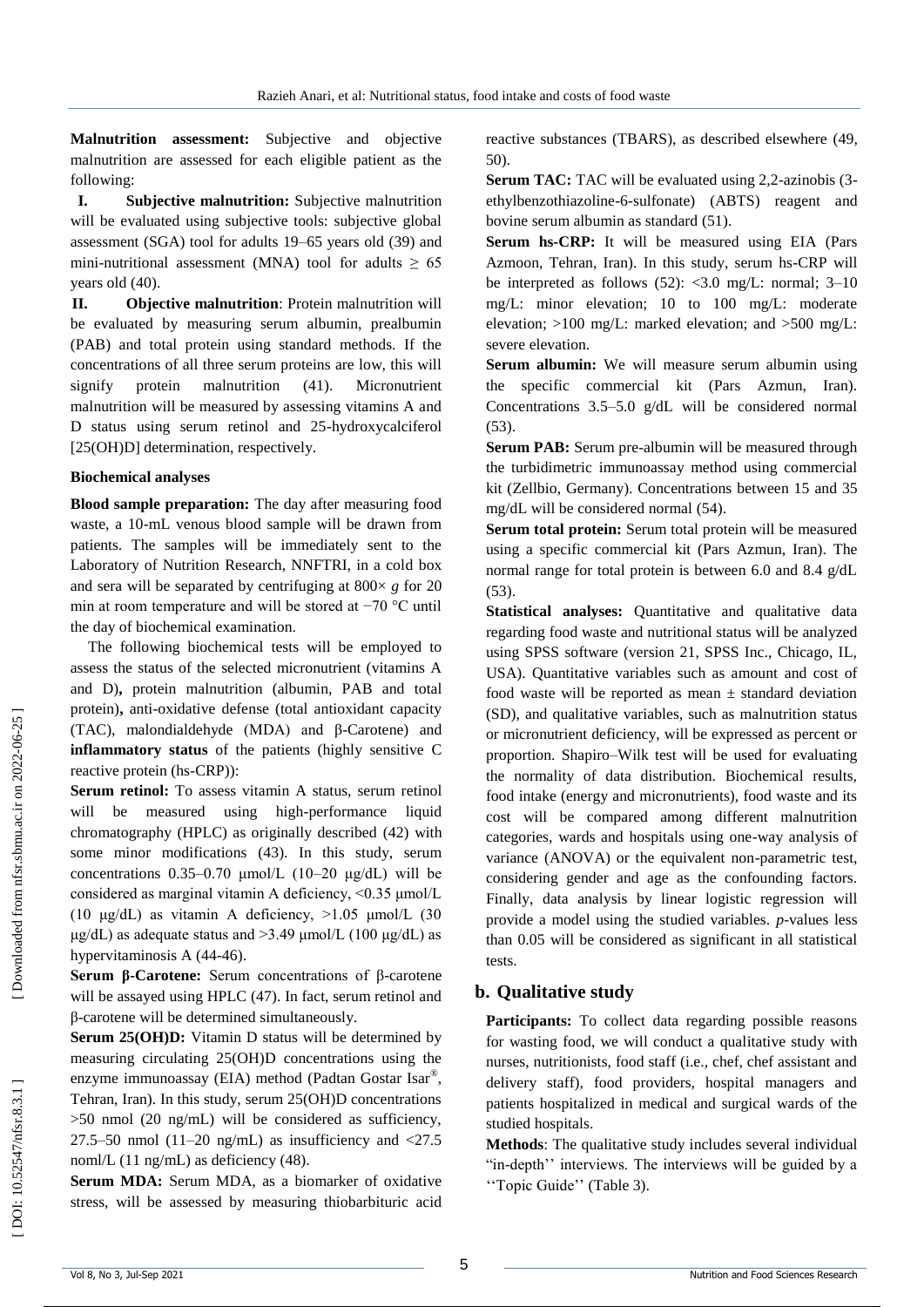**Malnutrition assessment:** Subjective and objective malnutrition are assessed for each eligible patient as the following:

**I. Subjective malnutrition:** Subjective malnutrition will be evaluated using subjective tools: subjective global assessment (SGA) tool for adults 19 –65 years old (39 ) and mini-nutritional assessment (MNA) tool for adults  $\geq 65$ years old (40 ) .

**II. Objective malnutrition**: Protein malnutrition will be evaluated by measuring serum albumin, prealbumin (PAB) and total protein using standard methods. If the concentrations of all three serum proteins are low, this will signify protein malnutrition  $(41)$ . ). Micronutrient malnutrition will be measured by assessing vitamins A and D status using serum retinol and 25 -hydroxycalciferol [25(OH)D] determination, respectively.

#### **Biochemical analyses**

**Blood sample preparation:** The day after measuring food waste, a 10 -mL venous blood sample will be drawn from patients. The samples will be immediately sent to the Laboratory of Nutrition Research, NNFTRI, in a cold box and sera will be separated by centrifuging at 800× *g* for 20 min at room temperature and will be stored at −70 °C until the day of biochemical examination.

The following biochemical tests will be employed to assess the status of the selected micronutrient (vitamins A and D)**,** protein malnutrition (albumin, PAB and total protein)**,** anti -oxidative defense (total antioxidant capacity (TAC), malondialdehyde (MDA) and β -Carotene) and **inflammatory status** of the patients (highly sensitive C reactive protein (hs -CRP)):

**Serum retinol:** To assess vitamin A status, serum retinol will be measured using high -performance liquid chromatography (HPLC) as originally described (42 ) with some minor modifications (43 ). In this study, serum concentrations  $0.35-0.70 \mu mol/L$  (10-20  $\mu g/dL$ ) will be considered as marginal vitamin A deficiency, <0.35 μmol/L (10 μg/dL) as vitamin A deficiency,  $>1.05$  μmol/L (30)  $\mu$ g/dL) as adequate status and >3.49  $\mu$ mol/L (100  $\mu$ g/dL) as hypervitaminosis A (44-46).

**Serum β -Carotene:** Serum concentrations of β -carotene will be assayed using HPLC (47 ). In fact, serum retinol and β -carotene will be determined simultaneously.

**Serum 25(OH)D:** Vitamin D status will be determined by measuring circulating 25(OH)D concentrations using the enzyme immunoassay (EIA) method (Padtan Gostar Isar®, Tehran, Iran). In this study, serum 25(OH)D concentrations >50 nmol (20 ng/mL) will be considered as sufficiency, 27.5–50 nmol  $(11–20 \text{ ng/mL})$  as insufficiency and  $\langle 27.5 \rangle$ noml/L (11 ng/mL) as deficiency (48).

**Serum MDA:** Serum MDA, as a biomarker of oxidative stress, will be assessed by measuring thiobarbituric acid reactive substances (TBARS), as described elsewhere (49, 50 ) .

**Serum TAC:** TAC will be evaluated using 2,2-azinobis (3ethylbenzothiazoline - 6 -sulfonate) (ABTS) reagent and bovine serum albumin as standard (51 ) .

**Serum hs -CRP :** It will be measured using EIA (Pars Azmoon, Tehran, Iran). In this study, serum hs -CRP will be interpreted as follows  $(52)$ : <3.0 mg/L: normal; 3–10 mg/L: minor elevation; 10 to 100 mg/L: moderate elevation; >100 mg/L: marked elevation; and >500 mg/L: severe elevation.

**Serum albumin:** We will measure serum albumin using the specific commercial kit (Pars Azmun, Iran). Concentrations 3.5 –5.0 g/dL will be considered normal (53 ) .

**Serum PAB:** Serum pre -albumin will be measured through the turbidimetric immunoassay method using commercial kit (Zellbio, Germany). Concentrations between 15 and 35 mg/dL will be considered normal (54 ) .

**Serum total protein:** Serum total protein will be measured using a specific commercial kit (Pars Azmun, Iran). The normal range for total protein is between 6.0 and 8.4 g/dL (53).

Statistical analyses: Quantitative and qualitative data regarding food waste and nutritional status will be analyzed using SPSS software (version 21, SPSS Inc., Chicago, IL, USA). Quantitative variables such as amount and cost of food waste will be reported as mean  $\pm$  standard deviation (SD), and qualitative variables, such as malnutrition status or micronutrient deficiency, will be expressed as percent or proportion. Shapiro –Wilk test will be used for evaluating the normality of data distribution. Biochemical results, food intake (energy and micronutrients), food waste and its cost will be compared among different malnutrition categories, wards and hospitals using one -way analysis of variance (ANOVA) or the equivalent non -parametric test, considering gender and age as the confounding factors. Finally, data analysis by linear logistic regression will provide a model using the studied variables. *p*-values less than 0.05 will be considered as significant in all statistical tests.

#### **b. Qualitative study**

Participants: To collect data regarding possible reasons for wasting food, we will conduct a qualitative study with nurses, nutritionists, food staff (i.e., chef, chef assistant and delivery staff), food providers, hospital managers and patients hospitalized in medical and surgical wards of the studied hospitals.

**Methods**: The qualitative study includes several individual "in -depth'' interviews. The interviews will be guided by a ''Topic Guide'' (Table 3).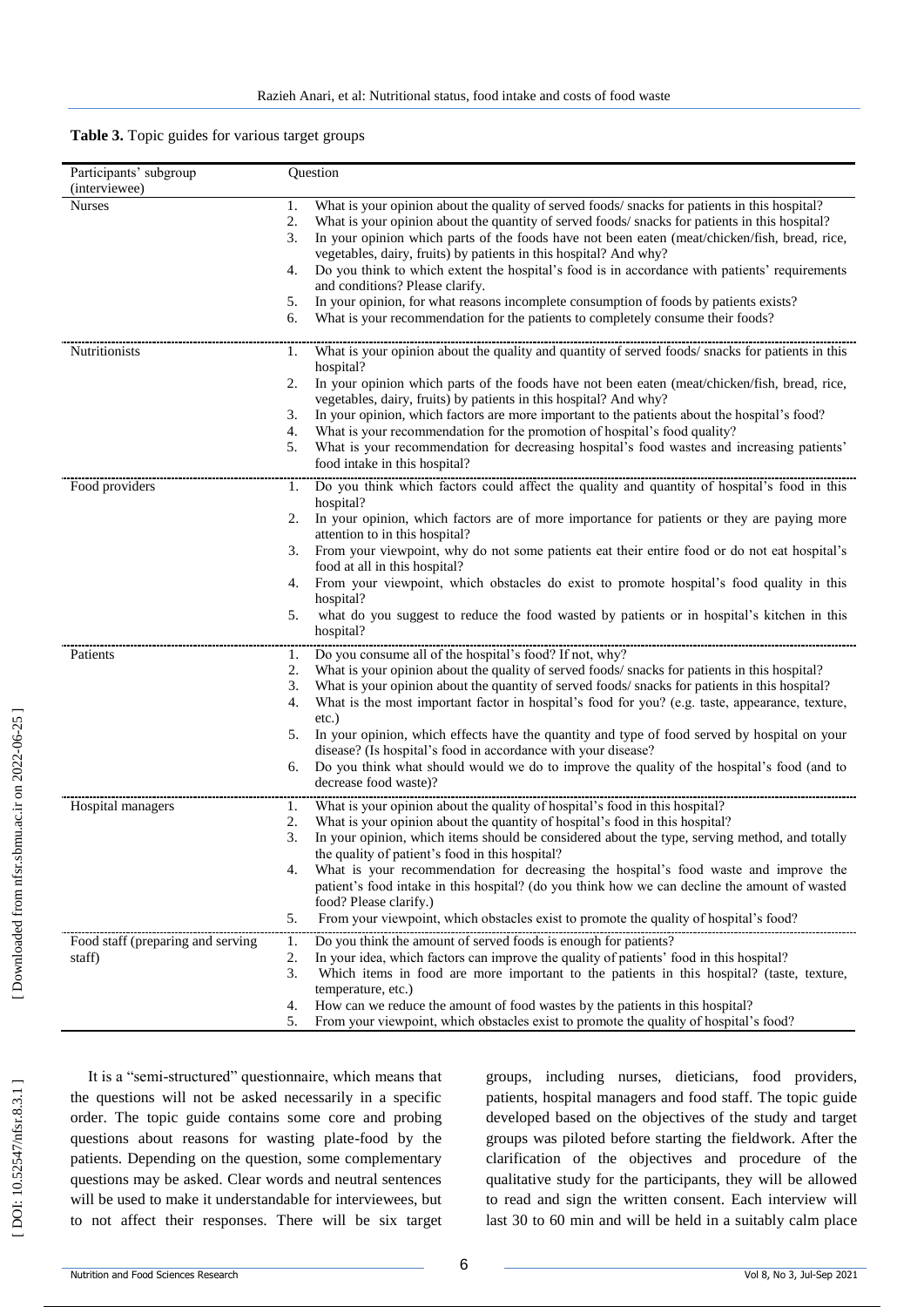| Table 3. Topic guides for various target groups |  |  |  |  |  |  |
|-------------------------------------------------|--|--|--|--|--|--|
|-------------------------------------------------|--|--|--|--|--|--|

| Participants' subgroup            | Question                                                                                                                                                                 |
|-----------------------------------|--------------------------------------------------------------------------------------------------------------------------------------------------------------------------|
| (interviewee)                     |                                                                                                                                                                          |
| <b>Nurses</b>                     | What is your opinion about the quality of served foods/ snacks for patients in this hospital?<br>1.                                                                      |
|                                   | 2.<br>What is your opinion about the quantity of served foods/ snacks for patients in this hospital?                                                                     |
|                                   | 3.<br>In your opinion which parts of the foods have not been eaten (meat/chicken/fish, bread, rice,<br>vegetables, dairy, fruits) by patients in this hospital? And why? |
|                                   | Do you think to which extent the hospital's food is in accordance with patients' requirements<br>4.<br>and conditions? Please clarify.                                   |
|                                   | In your opinion, for what reasons incomplete consumption of foods by patients exists?<br>5.                                                                              |
|                                   | What is your recommendation for the patients to completely consume their foods?<br>6.                                                                                    |
| Nutritionists                     | What is your opinion about the quality and quantity of served foods/ snacks for patients in this<br>1.<br>hospital?                                                      |
|                                   | In your opinion which parts of the foods have not been eaten (meat/chicken/fish, bread, rice,<br>2.<br>vegetables, dairy, fruits) by patients in this hospital? And why? |
|                                   | In your opinion, which factors are more important to the patients about the hospital's food?<br>3.                                                                       |
|                                   | What is your recommendation for the promotion of hospital's food quality?<br>4.                                                                                          |
|                                   | What is your recommendation for decreasing hospital's food wastes and increasing patients'<br>5.<br>food intake in this hospital?                                        |
| Food providers                    | Do you think which factors could affect the quality and quantity of hospital's food in this<br>1.<br>hospital?                                                           |
|                                   | In your opinion, which factors are of more importance for patients or they are paying more<br>2.                                                                         |
|                                   | attention to in this hospital?                                                                                                                                           |
|                                   | From your viewpoint, why do not some patients eat their entire food or do not eat hospital's<br>3.<br>food at all in this hospital?                                      |
|                                   | From your viewpoint, which obstacles do exist to promote hospital's food quality in this<br>4.<br>hospital?                                                              |
|                                   | what do you suggest to reduce the food wasted by patients or in hospital's kitchen in this<br>5.                                                                         |
|                                   | hospital?                                                                                                                                                                |
| Patients                          | Do you consume all of the hospital's food? If not, why?<br>1.                                                                                                            |
|                                   | What is your opinion about the quality of served foods/ snacks for patients in this hospital?<br>2.                                                                      |
|                                   | What is your opinion about the quantity of served foods/ snacks for patients in this hospital?<br>3.                                                                     |
|                                   | What is the most important factor in hospital's food for you? (e.g. taste, appearance, texture,<br>4.<br>$etc.$ )                                                        |
|                                   | In your opinion, which effects have the quantity and type of food served by hospital on your<br>5.                                                                       |
|                                   | disease? (Is hospital's food in accordance with your disease?                                                                                                            |
|                                   | Do you think what should would we do to improve the quality of the hospital's food (and to<br>6.<br>decrease food waste)?                                                |
| Hospital managers                 | What is your opinion about the quality of hospital's food in this hospital?<br>1.                                                                                        |
|                                   | 2.<br>What is your opinion about the quantity of hospital's food in this hospital?                                                                                       |
|                                   | In your opinion, which items should be considered about the type, serving method, and totally<br>3.<br>the quality of patient's food in this hospital?                   |
|                                   | What is your recommendation for decreasing the hospital's food waste and improve the<br>4.                                                                               |
|                                   | patient's food intake in this hospital? (do you think how we can decline the amount of wasted                                                                            |
|                                   | food? Please clarify.)                                                                                                                                                   |
|                                   | From your viewpoint, which obstacles exist to promote the quality of hospital's food?<br>5.                                                                              |
| Food staff (preparing and serving | Do you think the amount of served foods is enough for patients?<br>1.                                                                                                    |
| staff)                            | 2.<br>In your idea, which factors can improve the quality of patients' food in this hospital?                                                                            |
|                                   | 3.<br>Which items in food are more important to the patients in this hospital? (taste, texture,<br>temperature, etc.)                                                    |
|                                   | How can we reduce the amount of food wastes by the patients in this hospital?<br>4.                                                                                      |
|                                   | From your viewpoint, which obstacles exist to promote the quality of hospital's food?<br>5.                                                                              |

It is a "semi -structured" questionnaire, which means that the questions will not be asked necessarily in a specific order. The topic guide contains some core and probing questions about reasons for wasting plate -food by the patients. Depending on the question, some complementary questions may be asked. Clear words and neutral sentences will be used to make it understandable for interviewees, but to not affect their responses. There will be six target

groups, including nurses, dieticians, food providers, patients, hospital managers and food staff. The topic guide developed based on the objectives of the study and target groups was piloted before starting the fieldwork. After the clarification of the objectives and procedure of the qualitative study for the participants, they will be allowed to read and sign the written consent. Each interview will last 30 to 60 min and will be held in a suitably calm place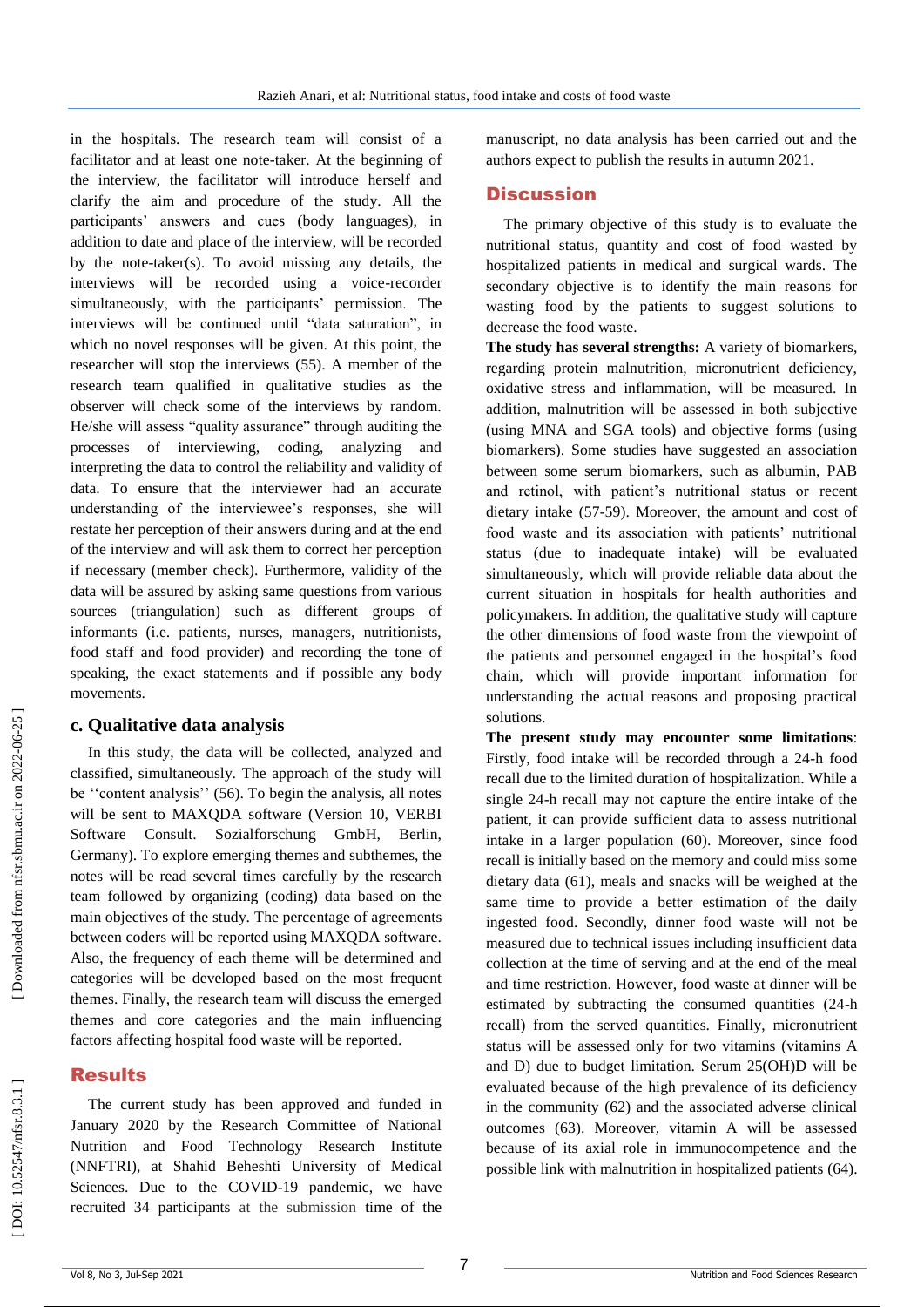in the hospitals. The research team will consist of a facilitator and at least one note -taker. At the beginning of the interview, the facilitator will introduce herself and clarify the aim and procedure of the study. All the participants' answers and cues (body languages), in addition to date and place of the interview, will be recorded by the note -taker(s). To avoid missing any details, the interviews will be recorded using a voice -recorder simultaneously, with the participants' permission. The interview s will be continued until "data saturation", in which no novel responses will be given. At this point, the researcher will stop the interviews (55 ). A member of the research team qualified in qualitative studies as the observer will check some of the interviews by random. He/she will assess "quality assurance" through auditing the processes of interviewing, coding, analyzing and interpreting the data to control the reliability and validity of data. To ensure that the interviewer had an accurate understanding of the interviewee's responses, she will restate her perception of their answers during and at the end of the interview and will ask them to correct her perception if necessary (member check). Furthermore, validity of the data will be assured by asking same questions from various sources (triangulation) such as different groups of informants (i.e. patients, nurses, managers, nutritionists, food staff and food provider) and recording the tone of speaking, the exact statements and if possible any body movements.

#### **c. Qualitative data analysis**

In this study, the data will be collected, analyzed and classified, simultaneously. The approach of the study will be ''content analysis'' (56 ). To begin the analysis, all notes will be sent to MAXQDA software (Version 10, VERBI<br>Software Consult. Sozialforschung GmbH, Berlin, Germany). To explore emerging themes and subthemes, the notes will be read several times carefully by the research team followed by organizing (coding) data based on the main objectives of the study. The percentage of agreements between coders will be reported using MAXQDA software. Also, the frequency of each theme will be determined and categories will be developed based on the most frequent themes. Finally, the research team will discuss the emerged themes and core categories and the main influencing factors affecting hospital food waste will be reported.

### Results

The current study has been approved and funded in January 2020 by the Research Committee of National Nutrition and Food Technology Research Institute (NNFTRI), at Shahid Beheshti University of Medical Sciences. Due to the COVID-19 pandemic, we have recruited 34 participants at the submission time of the

manuscript, no data analysis has been carried out and the authors expect to publish the results in autumn 2021.

#### **Discussion**

The primary objective of this study is to evaluate the nutritional status, quantity and cost of food wasted by hospitalized patients in medical and surgical wards. The secondary objective is to identify the main reasons for wasting food by the patients to suggest solutions to decrease the food waste.

**The study has several strengths:** A variety of biomarkers, regarding protein malnutrition, micronutrient deficiency, oxidative stress and inflammation, will be measured. In addition, malnutrition will be assessed in both subjective (using MNA and SGA tools) and objective forms (using biomarkers). Some studies have suggested an association between some serum biomarkers, such as albumin, PAB and retinol, with patient's nutritional status or recent dietary intake (57 -59 ). Moreover, the amount and cost of food waste and its association with patients' nutritional status (due to inadequate intake) will be evaluated simultaneously, which will provide reliable data about the current situation in hospitals for health authorities and policymakers. In addition, the qualitative study will capture the other dimensions of food waste from the viewpoint of the patients and personnel engaged in the hospital's food chain, which will provide important information for understanding the actual reasons and proposing practical solutions.

**The present study may encounter some limitations**: Firstly, food intake will be recorded through a 24 -h food recall due to the limited duration of hospitalization. While a single 24 -h recall may not capture the entire intake of the patient, it can provide sufficient data to assess nutritional intake in a larger population (60 ). Moreover, since food recall is initially based on the memory and could miss some dietary data (61 ), meals and snacks will be weighed at the same time to provide a better estimation of the daily ingested food. Secondly, dinner food waste will not be measured due to technical issues including insufficient data collection at the time of serving and at the end of the meal and time restriction. However, food waste at dinner will be estimated by subtracting the consumed quantities (24 -h recall) from the served quantities. Finally, micronutrient status will be assessed only for two vitamins (vitamins A and D) due to budget limitation. Serum 25(OH)D will be evaluated because of the high prevalence of its deficiency in the community (62 ) and the associated adverse clinical outcomes (63 ). Moreover, vitamin A will be assessed because of its axial role in immunocompetence and the possible link with malnutrition in hospitalized patients (64 ) .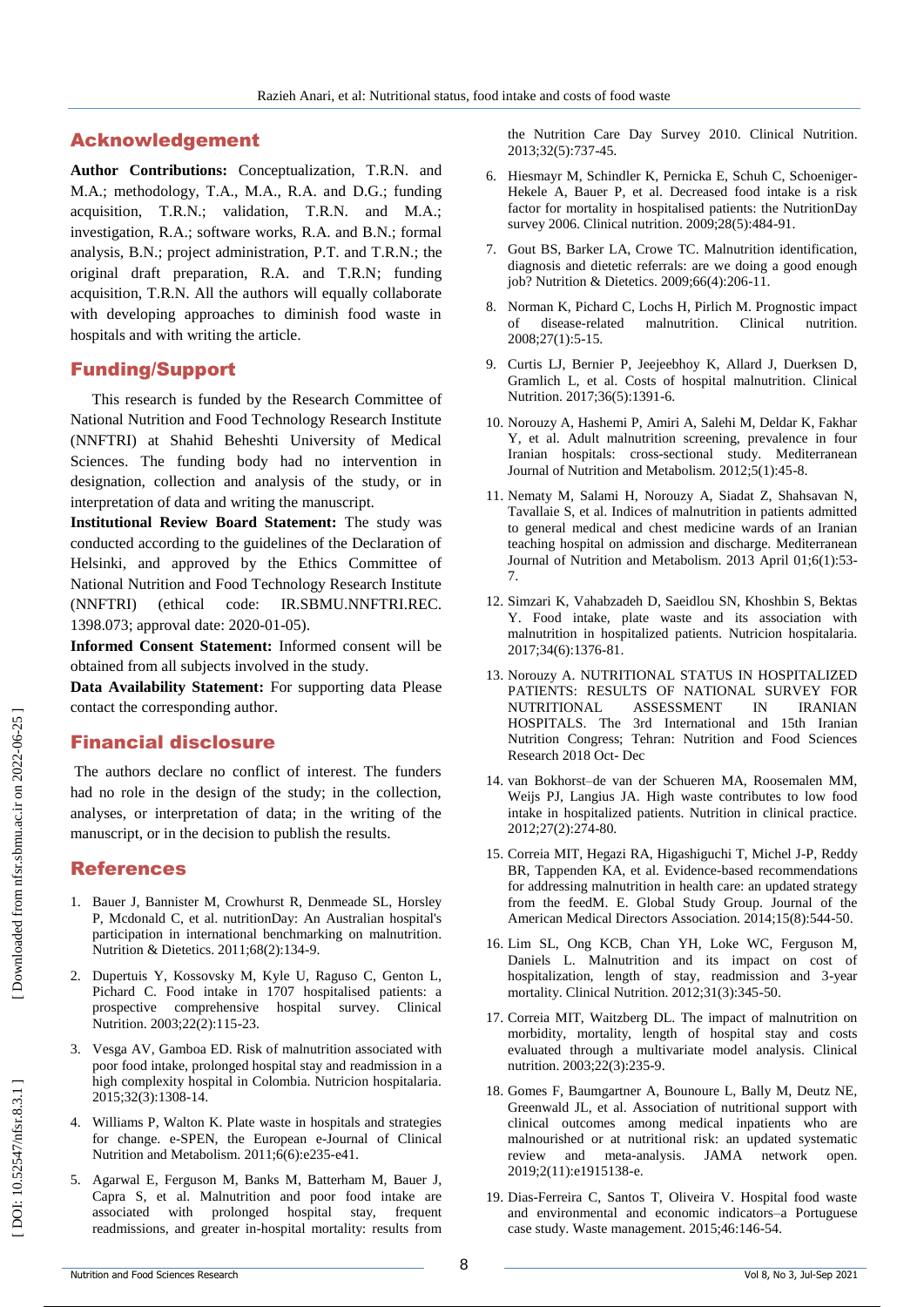# Acknowledgement

**Author Contributions:** Conceptualization, T.R.N. and M.A.; methodology, T.A., M.A., R.A. and D.G.; funding acquisition, T.R.N.; validation, T.R.N. and M.A.; investigation, R.A.; software works, R.A. and B.N.; formal analysis, B.N.; project administration, P.T. and T.R.N.; the original draft preparation, R.A. and T.R.N; funding acquisition, T.R.N. All the authors will equally collaborate with developing approaches to diminish food waste in hospitals and with writing the article.

#### Funding/Support

This research is funded by the Research Committee of National Nutrition and Food Technology Research Institute (NNFTRI) at Shahid Beheshti University of Medical Sciences. The funding body had no intervention in designation, collection and analysis of the study, or in interpretation of data and writing the manuscript.

**Institutional Review Board Statement:** The study was conducted according to the guidelines of the Declaration of Helsinki, and approved by the Ethics Committee of National Nutrition and Food Technology Research Institute (NNFTRI) (ethical code: IR.SBMU.NNFTRI.REC. 1398.073; approval date: 2020 -01 -05).

**Informed Consent Statement:** Informed consent will be obtained from all subjects involved in the study.

**Data Availability Statement:** For supporting data Please contact the corresponding author.

### Financial disclosure

The authors declare no conflict of interest. The funders had no role in the design of the study; in the collection, analyses, or interpretation of data; in the writing of the manuscript, or in the decision to publish the results.

### References

- 1. Bauer J, Bannister M, Crowhurst R, Denmeade SL, Horsley P, Mcdonald C, et al. nutritionDay: An Australian hospital's participation in international benchmarking on malnutrition. Nutrition & Dietetics. 2011;68(2):134 -9.
- 2. Dupertuis Y, Kossovsky M, Kyle U, Raguso C, Genton L, Pichard C. Food intake in 1707 hospitalised patients: a prospective comprehensive hospital survey. Clinical Nutrition. 2003;22(2):115 -23.
- 3. Vesga AV, Gamboa ED. Risk of malnutrition associated with poor food intake, prolonged hospital stay and readmission in a high complexity hospital in Colombia. Nutricion hospitalaria. 2015;32(3):1308 -14.
- 4. Williams P, Walton K. Plate waste in hospitals and strategies for change. e -SPEN, the European e -Journal of Clinical Nutrition and Metabolism. 2011;6(6):e235 -e41.
- 5. Agarwal E, Ferguson M, Banks M, Batterham M, Bauer J, Capra S, et al. Malnutrition and poor food intake are associated with prolonged hospital stay, frequent readmissions, and greater in -hospital mortality: results from

the Nutrition Care Day Survey 2010. Clinical Nutrition. 2013;32(5):737 -45.

- 6. Hiesmayr M, Schindler K, Pernicka E, Schuh C, Schoeniger Hekele A, Bauer P, et al. Decreased food intake is a risk factor for mortality in hospitalised patients: the NutritionDay survey 2006. Clinical nutrition. 2009;28(5):484 -91.
- 7. Gout BS, Barker LA, Crowe TC. Malnutrition identification, diagnosis and dietetic referrals: are we doing a good enough job? Nutrition & Dietetics. 2009;66(4):206 -11.
- 8. Norman K, Pichard C, Lochs H, Pirlich M. Prognostic impact of disease -related malnutrition. Clinical nutrition. 2008;27(1):5 -15.
- 9. Curtis LJ, Bernier P, Jeejeebhoy K, Allard J, Duerksen D, Gramlich L, et al. Costs of hospital malnutrition. Clinical Nutrition. 2017;36(5):1391 -6.
- 10. Norouzy A, Hashemi P, Amiri A, Salehi M, Deldar K, Fakhar Y, et al. Adult malnutrition screening, prevalence in four Iranian hospitals: cross -sectional study. Mediterranean Journal of Nutrition and Metabolism. 2012;5(1):45 -8.
- 11. Nematy M, Salami H, Norouzy A, Siadat Z, Shahsavan N, Tavallaie S, et al. Indices of malnutrition in patients admitted to general medical and chest medicine wards of an Iranian teaching hospital on admission and discharge. Mediterranean Journal of Nutrition and Metabolism. 2013 April 01;6(1):53 - 7.
- 12. Simzari K, Vahabzadeh D, Saeidlou SN, Khoshbin S, Bektas Y. Food intake, plate waste and its association with malnutrition in hospitalized patients. Nutricion hospitalaria. 2017;34(6):1376 -81.
- 13. Norouzy A. NUTRITIONAL STATUS IN HOSPITALIZED PATIENTS: RESULTS OF NATIONAL SURVEY FOR NUTRITIONAL ASSESSMENT IN IRANIAN HOSPITALS. The 3rd International and 15th Iranian Nutrition Congress; Tehran: Nutrition and Food Sciences Research 2018 Oct - Dec
- 14. van Bokhorst–de van der Schueren MA, Roosemalen MM, Weijs PJ, Langius JA. High waste contributes to low food intake in hospitalized patients. Nutrition in clinical practice. 2012;27(2):274 -80.
- 15. Correia MIT, Hegazi RA, Higashiguchi T, Michel J -P, Reddy BR, Tappenden KA, et al. Evidence -based recommendations for addressing malnutrition in health care: an updated strategy from the feedM. E. Global Study Group. Journal of the American Medical Directors Association. 2014;15(8):544 -50.
- 16. Lim SL, Ong KCB, Chan YH, Loke WC, Ferguson M, Daniels L. Malnutrition and its impact on cost of hospitalization, length of stay, readmission and 3 -year mortality. Clinical Nutrition. 2012;31(3):345 -50.
- 17. Correia MIT, Waitzberg DL. The impact of malnutrition on morbidity, mortality, length of hospital stay and costs evaluated through a multivariate model analysis. Clinical nutrition. 2003;22(3):235 -9.
- 18. Gomes F, Baumgartner A, Bounoure L, Bally M, Deutz NE, Greenwald JL, et al. Association of nutritional support with clinical outcomes among medical inpatients who are malnourished or at nutritional risk: an updated systematic review and meta -analysis. JAMA network open. 2019;2(11):e1915138 -e.
- 19. Dias -Ferreira C, Santos T, Oliveira V. Hospital food waste and environmental and economic indicators –a Portuguese case study. Waste management. 2015;46:146 -54.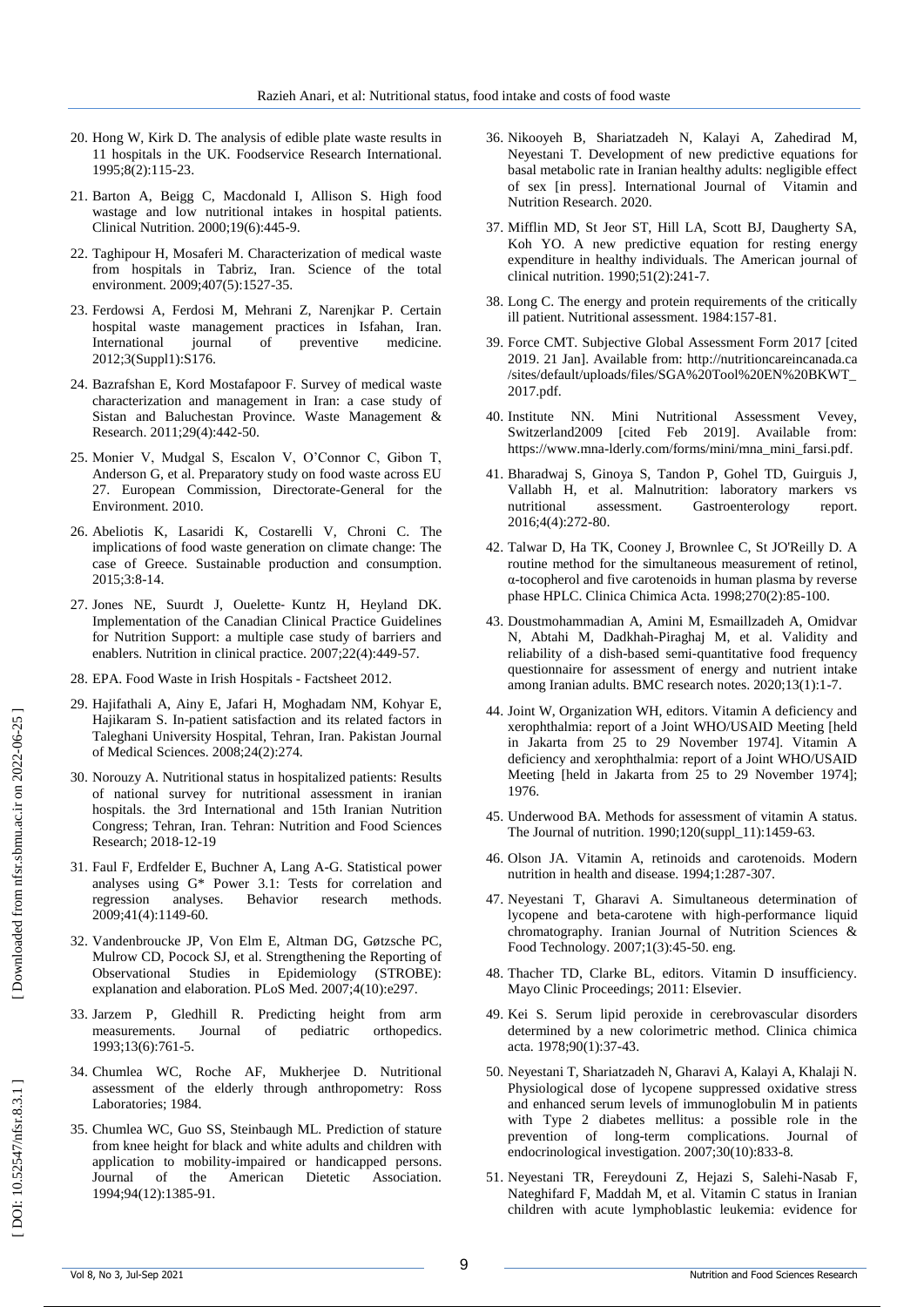- 20. Hong W, Kirk D. The analysis of edible plate waste results in 11 hospitals in the UK. Foodservice Research International. 1995;8(2):115 -23.
- 21. Barton A, Beigg C, Macdonald I, Allison S. High food wastage and low nutritional intakes in hospital patients. Clinical Nutrition. 2000;19(6):445 -9.
- 22. Taghipour H, Mosaferi M. Characterization of medical waste from hospitals in Tabriz, Iran. Science of the total environment. 2009;407(5):1527 -35.
- 23. Ferdowsi A, Ferdosi M, Mehrani Z, Narenjkar P. Certain hospital waste management practices in Isfahan, Iran. International journal of preventive medicine. 2012;3(Suppl1):S176.
- 24. Bazrafshan E, Kord Mostafapoor F. Survey of medical waste characterization and management in Iran: a case study of Sistan and Baluchestan Province. Waste Management & Research. 2011;29(4):442 -50.
- 25. Monier V, Mudgal S, Escalon V, O'Connor C, Gibon T, Anderson G, et al. Preparatory study on food waste across EU 27. European Commission, Directorate -General for the Environment. 2010.
- 26. Abeliotis K, Lasaridi K, Costarelli V, Chroni C. The implications of food waste generation on climate change: The case of Greece. Sustainable production and consumption. 2015;3:8 -14.
- 27. Jones NE, Suurdt J, Ouelette ‐ Kuntz H, Heyland DK. Implementation of the Canadian Clinical Practice Guidelines for Nutrition Support: a multiple case study of barriers and enablers. Nutrition in clinical practice. 2007;22(4):449 -57.
- 28. EPA. Food Waste in Irish Hospitals Factsheet 2012.
- 29. Hajifathali A, Ainy E, Jafari H, Moghadam NM, Kohyar E, Hajikaram S. In -patient satisfaction and its related factors in Taleghani University Hospital, Tehran, Iran. Pakistan Journal of Medical Sciences. 2008;24(2):274.
- 30. Norouzy A. Nutritional status in hospitalized patients: Results of national survey for nutritional assessment in iranian hospitals. the 3rd International and 15th Iranian Nutrition Congress; Tehran, Iran. Tehran: Nutrition and Food Sciences Research; 2018 -12 -19
- 31. Faul F, Erdfelder E, Buchner A, Lang A -G. Statistical power analyses using G\* Power 3.1: Tests for correlation and regression analyses. Behavior research methods. 2009;41(4):1149 -60.
- 32. Vandenbroucke JP, Von Elm E, Altman DG, Gøtzsche PC, Mulrow CD, Pocock SJ, et al. Strengthening the Reporting of Observational Studies in Epidemiology (STROBE): explanation and elaboration. PLoS Med. 2007;4(10):e297.
- 33. Jarzem P, Gledhill R. Predicting height from arm measurements. Journal of pediatric orthopedics. 1993;13(6):761 -5.
- 34. Chumlea WC, Roche AF, Mukherjee D. Nutritional assessment of the elderly through anthropometry: Ross Laboratories; 1984.
- 35. Chumlea WC, Guo SS, Steinbaugh ML. Prediction of stature from knee height for black and white adults and children with application to mobility -impaired or handicapped persons. Journal of the American Dietetic Association. 1994;94(12):1385 -91.
- 36. Nikooyeh B, Shariatzadeh N, Kalayi A, Zahedirad M, Neyestani T. Development of new predictive equations for basal metabolic rate in Iranian healthy adults: negligible effect of sex [in press]. International Journal of Vitamin and Nutrition Research. 2020.
- 37. Mifflin MD, St Jeor ST, Hill LA, Scott BJ, Daugherty SA, Koh YO. A new predictive equation for resting energy expenditure in healthy individuals. The American journal of clinical nutrition. 1990;51(2):241 -7.
- 38. Long C. The energy and protein requirements of the critically ill patient. Nutritional assessment. 1984:157 -81.
- 39. Force CMT. Subjective Global Assessment Form 2017 [cited 2019 . 21 Jan]. Available from: http://nutritioncareincanada.ca /sites/default/uploads/files/SGA%20Tool%20EN%20BKWT\_ 2017.pdf .
- 40. Institute NN. Mini Nutritional Assessment Vevey, Switzerland2009 [cited Feb 2019]. Available from: https://www.mna -lderly.com/forms/mini/mna\_mini\_farsi.pdf .
- 41. Bharadwaj S, Ginoya S, Tandon P, Gohel TD, Guirguis J, Vallabh H, et al. Malnutrition: laboratory markers vs assessment. Gastroenterology report. 2016;4(4):272 -80.
- 42. Talwar D, Ha TK, Cooney J, Brownlee C, St JO'Reilly D. A routine method for the simultaneous measurement of retinol, α-tocopherol and five carotenoids in human plasma by reverse phase HPLC. Clinica Chimica Acta. 1998;270(2):85 -100.
- 43. Doustmohammadian A, Amini M, Esmaillzadeh A, Omidvar N, Abtahi M, Dadkhah -Piraghaj M, et al. Validity and reliability of a dish -based semi -quantitative food frequency questionnaire for assessment of energy and nutrient intake among Iranian adults. BMC research notes. 2020;13(1):1 -7.
- 44. Joint W, Organization WH, editors. Vitamin A deficiency and xerophthalmia: report of a Joint WHO/USAID Meeting [held in Jakarta from 25 to 29 November 1974]. Vitamin A deficiency and xerophthalmia: report of a Joint WHO/USAID Meeting [held in Jakarta from 25 to 29 November 1974]; 1976.
- 45. Underwood BA. Methods for assessment of vitamin A status. The Journal of nutrition. 1990;120(suppl\_11):1459 -63.
- 46. Olson JA. Vitamin A, retinoids and carotenoids. Modern nutrition in health and disease. 1994;1:287 -307.
- 47. Neyestani T, Gharavi A. Simultaneous determination of lycopene and beta -carotene with high -performance liquid chromatography. Iranian Journal of Nutrition Sciences & Food Technology. 2007;1(3):45 -50. eng.
- 48. Thacher TD, Clarke BL, editors. Vitamin D insufficiency. Mayo Clinic Proceedings; 2011: Elsevier.
- 49. Kei S. Serum lipid peroxide in cerebrovascular disorders determined by a new colorimetric method. Clinica chimica acta. 1978;90(1):37 -43.
- 50. Neyestani T, Shariatzadeh N, Gharavi A, Kalayi A, Khalaji N. Physiological dose of lycopene suppressed oxidative stress and enhanced serum levels of immunoglobulin M in patients with Type 2 diabetes mellitus: a possible role in the prevention of long -term complications. Journal of endocrinological investigation. 2007;30(10):833 -8.
- 51. Neyestani TR, Fereydouni Z, Hejazi S, Salehi -Nasab F, Nateghifard F, Maddah M, et al. Vitamin C status in Iranian children with acute lymphoblastic leukemia: evidence for

DOI: 10.52547/nfsr.8.3.1]